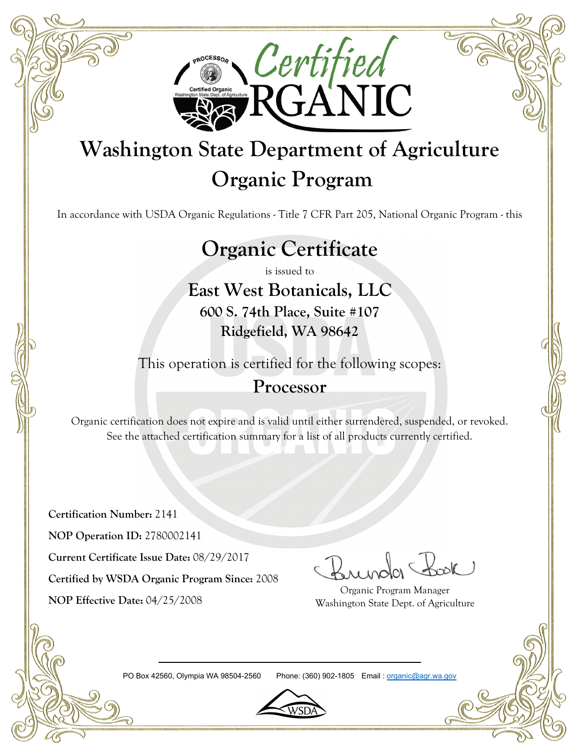

# **Washington State Department of Agriculture Organic Program**

In accordance with USDA Organic Regulations - Title 7 CFR Part 205, National Organic Program - this

# **Organic Certificate**

is issued to

**East West Botanicals, LLC**

**600 S. 74th Place, Suite #107 Ridgefield, WA 98642**

This operation is certified for the following scopes:

### **Processor**

Organic certification does not expire and is valid until either surrendered, suspended, or revoked. See the attached certification summary for a list of all products currently certified.

**Certification Number:** 2141

**NOP Operation ID:** 2780002141

**Current Certificate Issue Date:** 08/29/2017

**Certified by WSDA Organic Program Since:** 2008

**NOP Effective Date:** 04/25/2008

Organic Program Manager Washington State Dept. of Agriculture

PO Box 42560, Olympia WA 98504-2560 Phone: (360) 902-1805 Email : organic@agr.wa.gov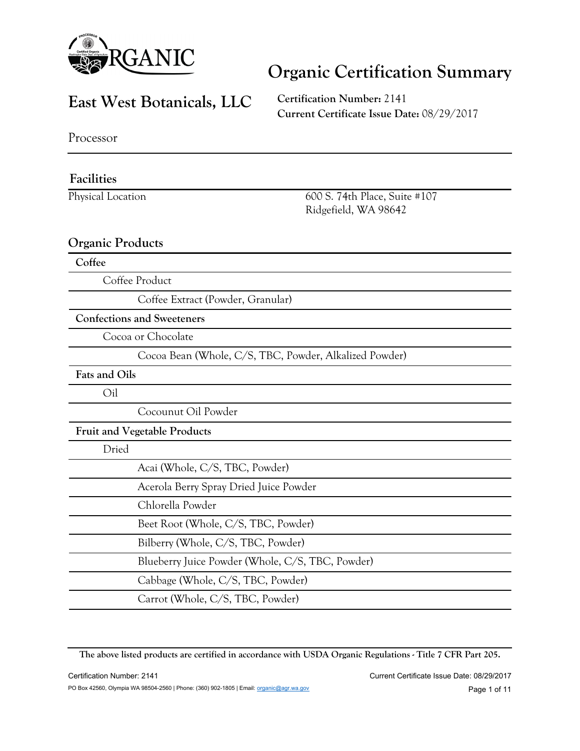

#### **East West Botanicals, LLC**

**Certification Number:** 2141 **Current Certificate Issue Date:** 08/29/2017

Processor

#### **Facilities**

Physical Location 600 S. 74th Place, Suite #107 Ridgefield, WA 98642

#### **Organic Products**

**Coffee**

Coffee Product

Coffee Extract (Powder, Granular)

**Confections and Sweeteners**

Cocoa or Chocolate

Cocoa Bean (Whole, C/S, TBC, Powder, Alkalized Powder)

**Fats and Oils**

Oil

Cocounut Oil Powder

#### **Fruit and Vegetable Products**

Dried

| Acai (Whole, C/S, TBC, Powder)                   |
|--------------------------------------------------|
| Acerola Berry Spray Dried Juice Powder           |
| Chlorella Powder                                 |
| Beet Root (Whole, C/S, TBC, Powder)              |
| Bilberry (Whole, C/S, TBC, Powder)               |
| Blueberry Juice Powder (Whole, C/S, TBC, Powder) |
| Cabbage (Whole, C/S, TBC, Powder)                |
| Carrot (Whole, C/S, TBC, Powder)                 |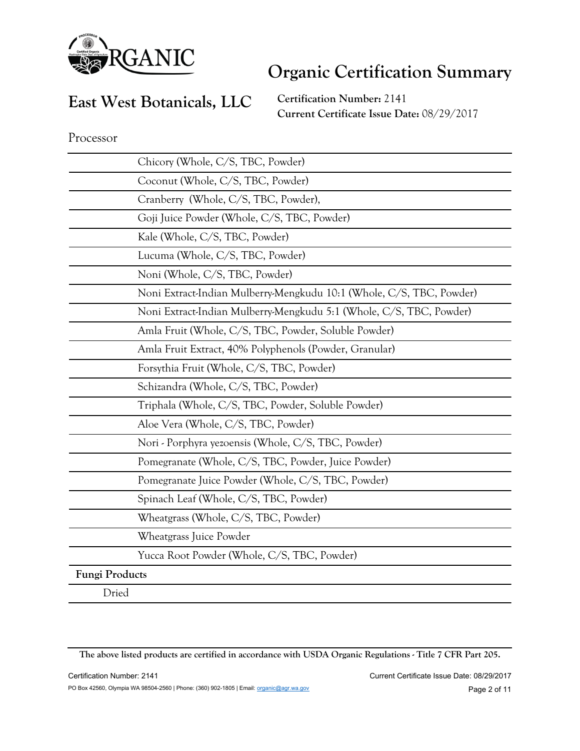

### **East West Botanicals, LLC**

**Certification Number:** 2141 **Current Certificate Issue Date:** 08/29/2017

Processor

| Chicory (Whole, C/S, TBC, Powder)                                    |
|----------------------------------------------------------------------|
| Coconut (Whole, C/S, TBC, Powder)                                    |
| Cranberry (Whole, C/S, TBC, Powder),                                 |
| Goji Juice Powder (Whole, C/S, TBC, Powder)                          |
| Kale (Whole, C/S, TBC, Powder)                                       |
| Lucuma (Whole, C/S, TBC, Powder)                                     |
| Noni (Whole, C/S, TBC, Powder)                                       |
| Noni Extract-Indian Mulberry-Mengkudu 10:1 (Whole, C/S, TBC, Powder) |
| Noni Extract-Indian Mulberry-Mengkudu 5:1 (Whole, C/S, TBC, Powder)  |
| Amla Fruit (Whole, C/S, TBC, Powder, Soluble Powder)                 |
| Amla Fruit Extract, 40% Polyphenols (Powder, Granular)               |
| Forsythia Fruit (Whole, C/S, TBC, Powder)                            |
| Schizandra (Whole, C/S, TBC, Powder)                                 |
| Triphala (Whole, C/S, TBC, Powder, Soluble Powder)                   |
| Aloe Vera (Whole, C/S, TBC, Powder)                                  |
| Nori - Porphyra yezoensis (Whole, C/S, TBC, Powder)                  |
| Pomegranate (Whole, C/S, TBC, Powder, Juice Powder)                  |
| Pomegranate Juice Powder (Whole, C/S, TBC, Powder)                   |
| Spinach Leaf (Whole, C/S, TBC, Powder)                               |
| Wheatgrass (Whole, C/S, TBC, Powder)                                 |
| Wheatgrass Juice Powder                                              |
| Yucca Root Powder (Whole, C/S, TBC, Powder)                          |
| <b>Fungi Products</b>                                                |
| Dried                                                                |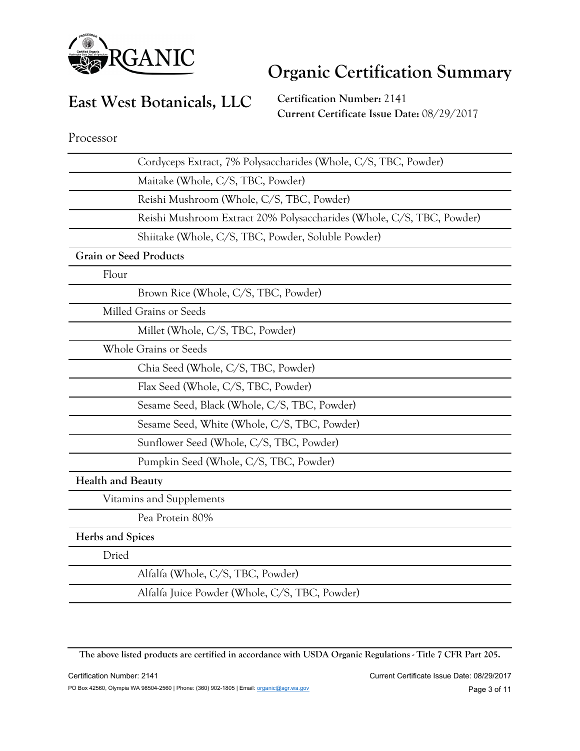

### **East West Botanicals, LLC**

**Certification Number:** 2141 **Current Certificate Issue Date:** 08/29/2017

Processor

| Cordyceps Extract, 7% Polysaccharides (Whole, C/S, TBC, Powder)       |
|-----------------------------------------------------------------------|
| Maitake (Whole, C/S, TBC, Powder)                                     |
| Reishi Mushroom (Whole, C/S, TBC, Powder)                             |
| Reishi Mushroom Extract 20% Polysaccharides (Whole, C/S, TBC, Powder) |
| Shiitake (Whole, C/S, TBC, Powder, Soluble Powder)                    |
| <b>Grain or Seed Products</b>                                         |
| Flour                                                                 |
| Brown Rice (Whole, C/S, TBC, Powder)                                  |
| Milled Grains or Seeds                                                |
| Millet (Whole, C/S, TBC, Powder)                                      |
| <b>Whole Grains or Seeds</b>                                          |
| Chia Seed (Whole, C/S, TBC, Powder)                                   |
| Flax Seed (Whole, C/S, TBC, Powder)                                   |
| Sesame Seed, Black (Whole, C/S, TBC, Powder)                          |
| Sesame Seed, White (Whole, C/S, TBC, Powder)                          |
| Sunflower Seed (Whole, C/S, TBC, Powder)                              |
| Pumpkin Seed (Whole, C/S, TBC, Powder)                                |
| <b>Health and Beauty</b>                                              |
| Vitamins and Supplements                                              |
| Pea Protein 80%                                                       |
| Herbs and Spices                                                      |
| Dried                                                                 |
| Alfalfa (Whole, C/S, TBC, Powder)                                     |
| Alfalfa Juice Powder (Whole, C/S, TBC, Powder)                        |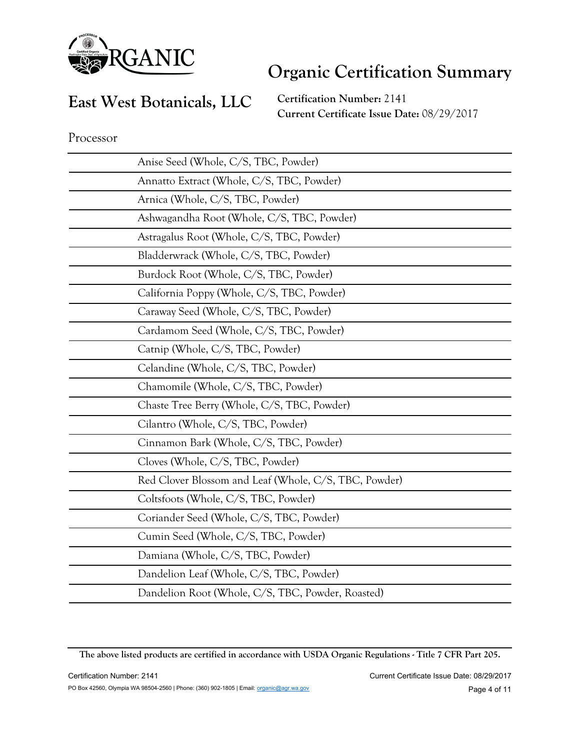

#### **East West Botanicals, LLC**

**Certification Number:** 2141 **Current Certificate Issue Date:** 08/29/2017

| Anise Seed (Whole, C/S, TBC, Powder)                  |
|-------------------------------------------------------|
| Annatto Extract (Whole, C/S, TBC, Powder)             |
| Arnica (Whole, C/S, TBC, Powder)                      |
| Ashwagandha Root (Whole, C/S, TBC, Powder)            |
| Astragalus Root (Whole, C/S, TBC, Powder)             |
| Bladderwrack (Whole, C/S, TBC, Powder)                |
| Burdock Root (Whole, C/S, TBC, Powder)                |
| California Poppy (Whole, C/S, TBC, Powder)            |
| Caraway Seed (Whole, C/S, TBC, Powder)                |
| Cardamom Seed (Whole, C/S, TBC, Powder)               |
| Catnip (Whole, C/S, TBC, Powder)                      |
| Celandine (Whole, C/S, TBC, Powder)                   |
| Chamomile (Whole, C/S, TBC, Powder)                   |
|                                                       |
| Chaste Tree Berry (Whole, C/S, TBC, Powder)           |
| Cilantro (Whole, C/S, TBC, Powder)                    |
| Cinnamon Bark (Whole, C/S, TBC, Powder)               |
| Cloves (Whole, C/S, TBC, Powder)                      |
| Red Clover Blossom and Leaf (Whole, C/S, TBC, Powder) |
| Coltsfoots (Whole, C/S, TBC, Powder)                  |
| Coriander Seed (Whole, C/S, TBC, Powder)              |
| Cumin Seed (Whole, C/S, TBC, Powder)                  |
| Damiana (Whole, C/S, TBC, Powder)                     |
| Dandelion Leaf (Whole, C/S, TBC, Powder)              |

**The above listed products are certified in accordance with USDA Organic Regulations - Title 7 CFR Part 205.**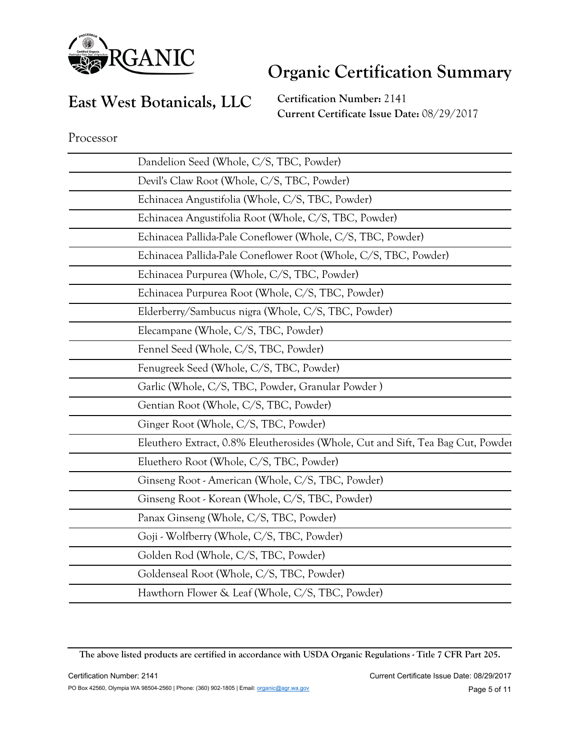

### **East West Botanicals, LLC**

**Certification Number:** 2141 **Current Certificate Issue Date:** 08/29/2017

| Dandelion Seed (Whole, C/S, TBC, Powder)                                         |
|----------------------------------------------------------------------------------|
| Devil's Claw Root (Whole, C/S, TBC, Powder)                                      |
| Echinacea Angustifolia (Whole, C/S, TBC, Powder)                                 |
| Echinacea Angustifolia Root (Whole, C/S, TBC, Powder)                            |
| Echinacea Pallida-Pale Coneflower (Whole, C/S, TBC, Powder)                      |
| Echinacea Pallida-Pale Coneflower Root (Whole, C/S, TBC, Powder)                 |
| Echinacea Purpurea (Whole, C/S, TBC, Powder)                                     |
| Echinacea Purpurea Root (Whole, C/S, TBC, Powder)                                |
| Elderberry/Sambucus nigra (Whole, C/S, TBC, Powder)                              |
| Elecampane (Whole, C/S, TBC, Powder)                                             |
| Fennel Seed (Whole, C/S, TBC, Powder)                                            |
| Fenugreek Seed (Whole, C/S, TBC, Powder)                                         |
| Garlic (Whole, C/S, TBC, Powder, Granular Powder)                                |
| Gentian Root (Whole, C/S, TBC, Powder)                                           |
| Ginger Root (Whole, C/S, TBC, Powder)                                            |
| Eleuthero Extract, 0.8% Eleutherosides (Whole, Cut and Sift, Tea Bag Cut, Powder |
| Eluethero Root (Whole, C/S, TBC, Powder)                                         |
| Ginseng Root - American (Whole, C/S, TBC, Powder)                                |
| Ginseng Root - Korean (Whole, C/S, TBC, Powder)                                  |
| Panax Ginseng (Whole, C/S, TBC, Powder)                                          |
| Goji - Wolfberry (Whole, C/S, TBC, Powder)                                       |
| Golden Rod (Whole, C/S, TBC, Powder)                                             |
| Goldenseal Root (Whole, C/S, TBC, Powder)                                        |
| Hawthorn Flower & Leaf (Whole, C/S, TBC, Powder)                                 |

**The above listed products are certified in accordance with USDA Organic Regulations - Title 7 CFR Part 205.**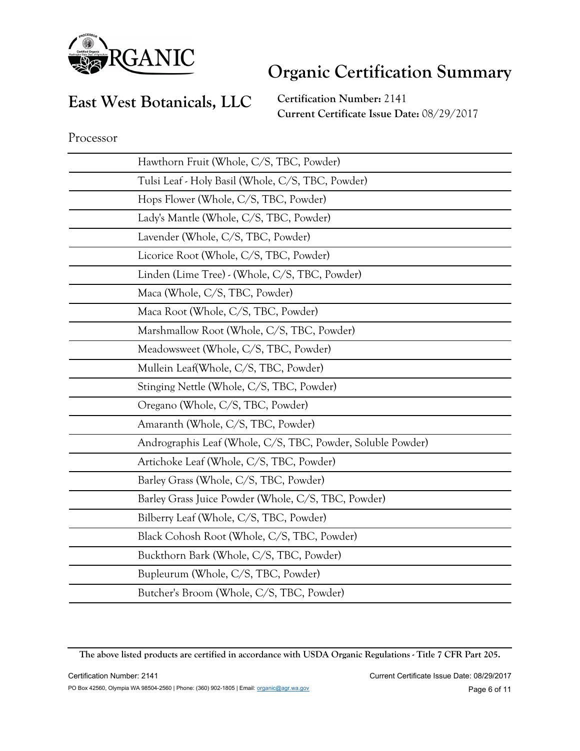

### **East West Botanicals, LLC**

**Certification Number:** 2141 **Current Certificate Issue Date:** 08/29/2017

| Hawthorn Fruit (Whole, C/S, TBC, Powder)                    |
|-------------------------------------------------------------|
| Tulsi Leaf - Holy Basil (Whole, C/S, TBC, Powder)           |
| Hops Flower (Whole, C/S, TBC, Powder)                       |
| Lady's Mantle (Whole, C/S, TBC, Powder)                     |
| Lavender (Whole, C/S, TBC, Powder)                          |
| Licorice Root (Whole, C/S, TBC, Powder)                     |
| Linden (Lime Tree) - (Whole, C/S, TBC, Powder)              |
| Maca (Whole, C/S, TBC, Powder)                              |
| Maca Root (Whole, C/S, TBC, Powder)                         |
| Marshmallow Root (Whole, C/S, TBC, Powder)                  |
| Meadowsweet (Whole, C/S, TBC, Powder)                       |
| Mullein Leaf(Whole, C/S, TBC, Powder)                       |
| Stinging Nettle (Whole, C/S, TBC, Powder)                   |
| Oregano (Whole, C/S, TBC, Powder)                           |
| Amaranth (Whole, C/S, TBC, Powder)                          |
| Andrographis Leaf (Whole, C/S, TBC, Powder, Soluble Powder) |
| Artichoke Leaf (Whole, C/S, TBC, Powder)                    |
| Barley Grass (Whole, C/S, TBC, Powder)                      |
| Barley Grass Juice Powder (Whole, C/S, TBC, Powder)         |
| Bilberry Leaf (Whole, C/S, TBC, Powder)                     |
| Black Cohosh Root (Whole, C/S, TBC, Powder)                 |
| Buckthorn Bark (Whole, C/S, TBC, Powder)                    |
| Bupleurum (Whole, C/S, TBC, Powder)                         |
| Butcher's Broom (Whole, C/S, TBC, Powder)                   |

**The above listed products are certified in accordance with USDA Organic Regulations - Title 7 CFR Part 205.**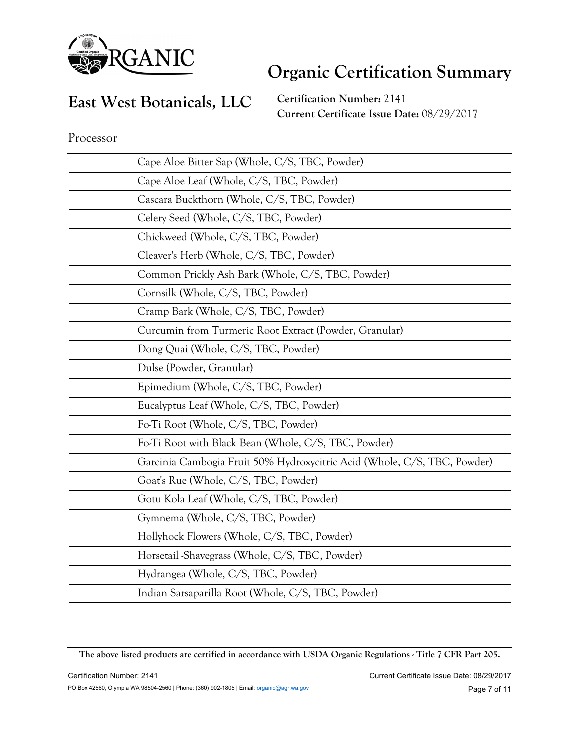

#### **East West Botanicals, LLC**

**Certification Number:** 2141 **Current Certificate Issue Date:** 08/29/2017

| Cape Aloe Bitter Sap (Whole, C/S, TBC, Powder)                           |
|--------------------------------------------------------------------------|
| Cape Aloe Leaf (Whole, C/S, TBC, Powder)                                 |
| Cascara Buckthorn (Whole, C/S, TBC, Powder)                              |
| Celery Seed (Whole, C/S, TBC, Powder)                                    |
| Chickweed (Whole, C/S, TBC, Powder)                                      |
| Cleaver's Herb (Whole, C/S, TBC, Powder)                                 |
| Common Prickly Ash Bark (Whole, C/S, TBC, Powder)                        |
| Cornsilk (Whole, C/S, TBC, Powder)                                       |
| Cramp Bark (Whole, C/S, TBC, Powder)                                     |
| Curcumin from Turmeric Root Extract (Powder, Granular)                   |
| Dong Quai (Whole, C/S, TBC, Powder)                                      |
| Dulse (Powder, Granular)                                                 |
| Epimedium (Whole, C/S, TBC, Powder)                                      |
| Eucalyptus Leaf (Whole, C/S, TBC, Powder)                                |
|                                                                          |
| Fo-Ti Root (Whole, C/S, TBC, Powder)                                     |
| Fo-Ti Root with Black Bean (Whole, C/S, TBC, Powder)                     |
| Garcinia Cambogia Fruit 50% Hydroxycitric Acid (Whole, C/S, TBC, Powder) |
| Goat's Rue (Whole, C/S, TBC, Powder)                                     |
| Gotu Kola Leaf (Whole, C/S, TBC, Powder)                                 |
| Gymnema (Whole, C/S, TBC, Powder)                                        |
| Hollyhock Flowers (Whole, C/S, TBC, Powder)                              |
| Horsetail Shavegrass (Whole, C/S, TBC, Powder)                           |
| Hydrangea (Whole, C/S, TBC, Powder)                                      |

**The above listed products are certified in accordance with USDA Organic Regulations - Title 7 CFR Part 205.**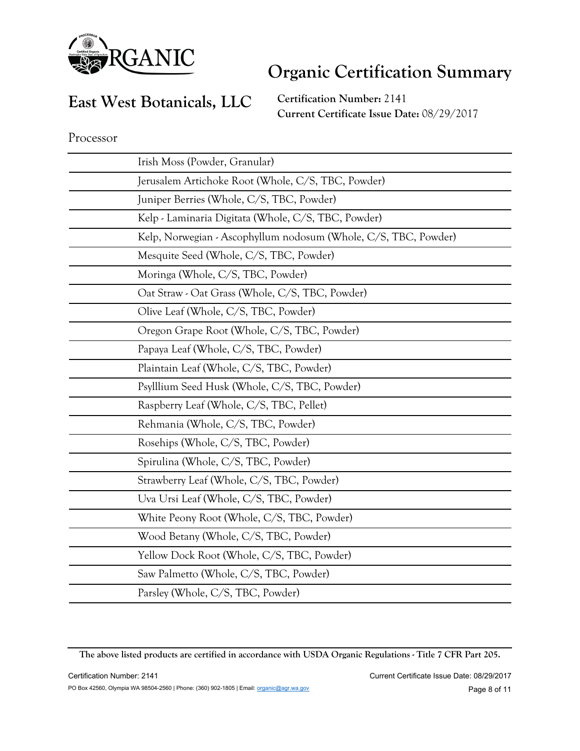

#### **East West Botanicals, LLC**

**Certification Number:** 2141 **Current Certificate Issue Date:** 08/29/2017

**The above listed products are certified in accordance with USDA Organic Regulations - Title 7 CFR Part 205.**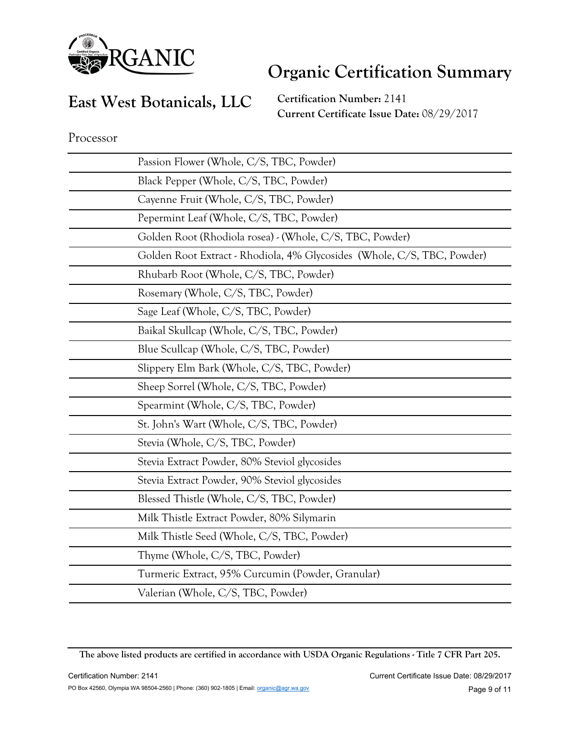

#### **East West Botanicals, LLC**

**Certification Number:** 2141 **Current Certificate Issue Date:** 08/29/2017

| Passion Flower (Whole, C/S, TBC, Powder)                                |
|-------------------------------------------------------------------------|
| Black Pepper (Whole, C/S, TBC, Powder)                                  |
| Cayenne Fruit (Whole, C/S, TBC, Powder)                                 |
| Pepermint Leaf (Whole, C/S, TBC, Powder)                                |
| Golden Root (Rhodiola rosea) - (Whole, C/S, TBC, Powder)                |
| Golden Root Extract - Rhodiola, 4% Glycosides (Whole, C/S, TBC, Powder) |
| Rhubarb Root (Whole, C/S, TBC, Powder)                                  |
| Rosemary (Whole, C/S, TBC, Powder)                                      |
| Sage Leaf (Whole, C/S, TBC, Powder)                                     |
| Baikal Skullcap (Whole, C/S, TBC, Powder)                               |
| Blue Scullcap (Whole, C/S, TBC, Powder)                                 |
| Slippery Elm Bark (Whole, C/S, TBC, Powder)                             |
| Sheep Sorrel (Whole, C/S, TBC, Powder)                                  |
| Spearmint (Whole, C/S, TBC, Powder)                                     |
| St. John's Wart (Whole, C/S, TBC, Powder)                               |
| Stevia (Whole, C/S, TBC, Powder)                                        |
| Stevia Extract Powder, 80% Steviol glycosides                           |
| Stevia Extract Powder, 90% Steviol glycosides                           |
| Blessed Thistle (Whole, C/S, TBC, Powder)                               |
| Milk Thistle Extract Powder, 80% Silymarin                              |
| Milk Thistle Seed (Whole, C/S, TBC, Powder)                             |
| Thyme (Whole, C/S, TBC, Powder)                                         |
| Turmeric Extract, 95% Curcumin (Powder, Granular)                       |
| Valerian (Whole, C/S, TBC, Powder)                                      |

**The above listed products are certified in accordance with USDA Organic Regulations - Title 7 CFR Part 205.**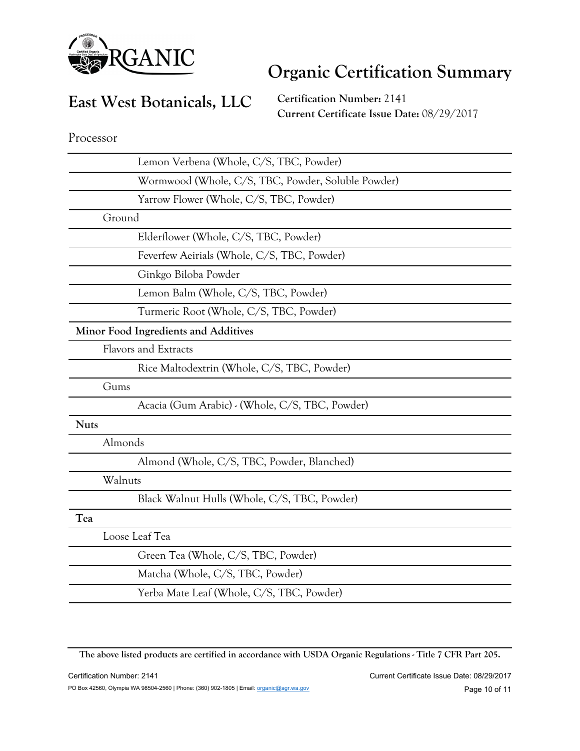

### **East West Botanicals, LLC**

**Certification Number:** 2141 **Current Certificate Issue Date:** 08/29/2017

Processor

| Lemon Verbena (Whole, C/S, TBC, Powder)            |
|----------------------------------------------------|
| Wormwood (Whole, C/S, TBC, Powder, Soluble Powder) |
| Yarrow Flower (Whole, C/S, TBC, Powder)            |
| Ground                                             |
| Elderflower (Whole, C/S, TBC, Powder)              |
| Feverfew Aeirials (Whole, C/S, TBC, Powder)        |
| Ginkgo Biloba Powder                               |
| Lemon Balm (Whole, C/S, TBC, Powder)               |
| Turmeric Root (Whole, C/S, TBC, Powder)            |
| Minor Food Ingredients and Additives               |
| <b>Flavors and Extracts</b>                        |
| Rice Maltodextrin (Whole, C/S, TBC, Powder)        |
| Gums                                               |
| Acacia (Gum Arabic) - (Whole, C/S, TBC, Powder)    |
| <b>Nuts</b>                                        |
| Almonds                                            |
| Almond (Whole, C/S, TBC, Powder, Blanched)         |
| Walnuts                                            |
| Black Walnut Hulls (Whole, C/S, TBC, Powder)       |
| Tea                                                |
| Loose Leaf Tea                                     |
| Green Tea (Whole, C/S, TBC, Powder)                |
| Matcha (Whole, C/S, TBC, Powder)                   |
| Yerba Mate Leaf (Whole, C/S, TBC, Powder)          |
|                                                    |